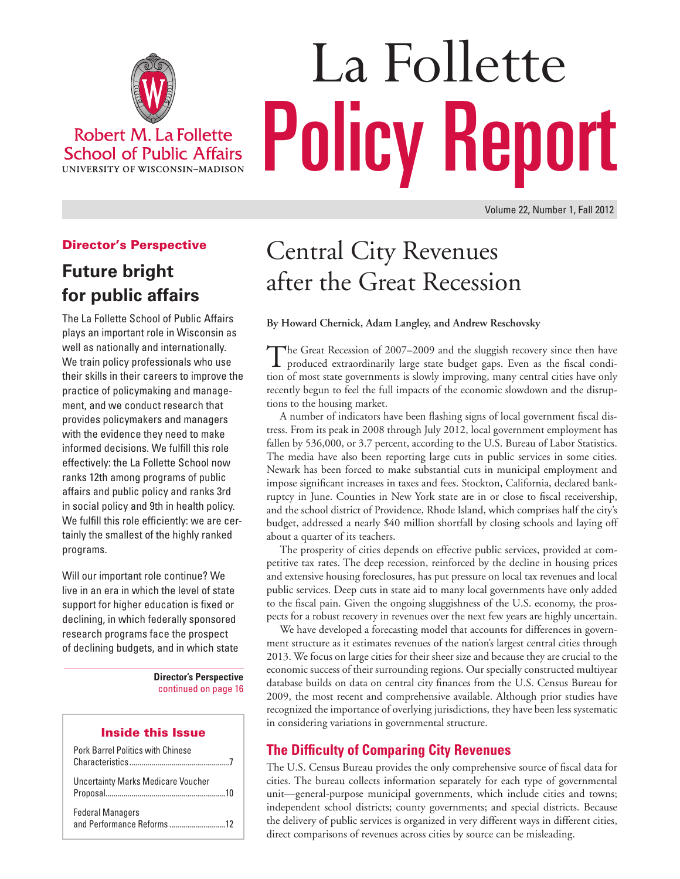

**School of Public Affairs** UNIVERSITY OF WISCONSIN-MADISON

# La Follette Policy Report

# Director's Perspective

**Future bright for public affairs**

The La Follette School of Public Affairs plays an important role in Wisconsin as well as nationally and internationally. We train policy professionals who use their skills in their careers to improve the practice of policymaking and management, and we conduct research that provides policymakers and managers with the evidence they need to make informed decisions. We fulfill this role effectively: the La Follette School now ranks 12th among programs of public affairs and public policy and ranks 3rd in social policy and 9th in health policy. We fulfill this role efficiently: we are certainly the smallest of the highly ranked programs.

Will our important role continue? We live in an era in which the level of state support for higher education is fixed or declining, in which federally sponsored research programs face the prospect of declining budgets, and in which state

> **Director's Perspective** continued on page 16

#### Inside this Issue

| <b>Pork Barrel Politics with Chinese</b>  |  |
|-------------------------------------------|--|
| <b>Uncertainty Marks Medicare Voucher</b> |  |
| <b>Federal Managers</b>                   |  |

# Central City Revenues after the Great Recession

**By Howard Chernick, Adam Langley, and Andrew Reschovsky**

The Great Recession of 2007–2009 and the sluggish recovery since then have produced extraordinarily large state budget gaps. Even as the fiscal condition of most state governments is slowly improving, many central cities have only recently begun to feel the full impacts of the economic slowdown and the disruptions to the housing market.

A number of indicators have been flashing signs of local government fiscal distress. From its peak in 2008 through July 2012, local government employment has fallen by 536,000, or 3.7 percent, according to the U.S. Bureau of Labor Statistics. The media have also been reporting large cuts in public services in some cities. Newark has been forced to make substantial cuts in municipal employment and impose significant increases in taxes and fees. Stockton, California, declared bankruptcy in June. Counties in New York state are in or close to fiscal receivership, and the school district of Providence, Rhode Island, which comprises half the city's budget, addressed a nearly \$40 million shortfall by closing schools and laying off about a quarter of its teachers.

The prosperity of cities depends on effective public services, provided at competitive tax rates. The deep recession, reinforced by the decline in housing prices and extensive housing foreclosures, has put pressure on local tax revenues and local public services. Deep cuts in state aid to many local governments have only added to the fiscal pain. Given the ongoing sluggishness of the U.S. economy, the prospects for a robust recovery in revenues over the next few years are highly uncertain.

We have developed a forecasting model that accounts for differences in government structure as it estimates revenues of the nation's largest central cities through 2013. We focus on large cities for their sheer size and because they are crucial to the economic success of their surrounding regions. Our specially constructed multiyear database builds on data on central city finances from the U.S. Census Bureau for 2009, the most recent and comprehensive available. Although prior studies have recognized the importance of overlying jurisdictions, they have been less systematic in considering variations in governmental structure.

# **The Difficulty of Comparing City Revenues**

The U.S. Census Bureau provides the only comprehensive source of fiscal data for cities. The bureau collects information separately for each type of governmental unit—general-purpose municipal governments, which include cities and towns; independent school districts; county governments; and special districts. Because the delivery of public services is organized in very different ways in different cities, direct comparisons of revenues across cities by source can be misleading.

Volume 22, Number 1, Fall 2012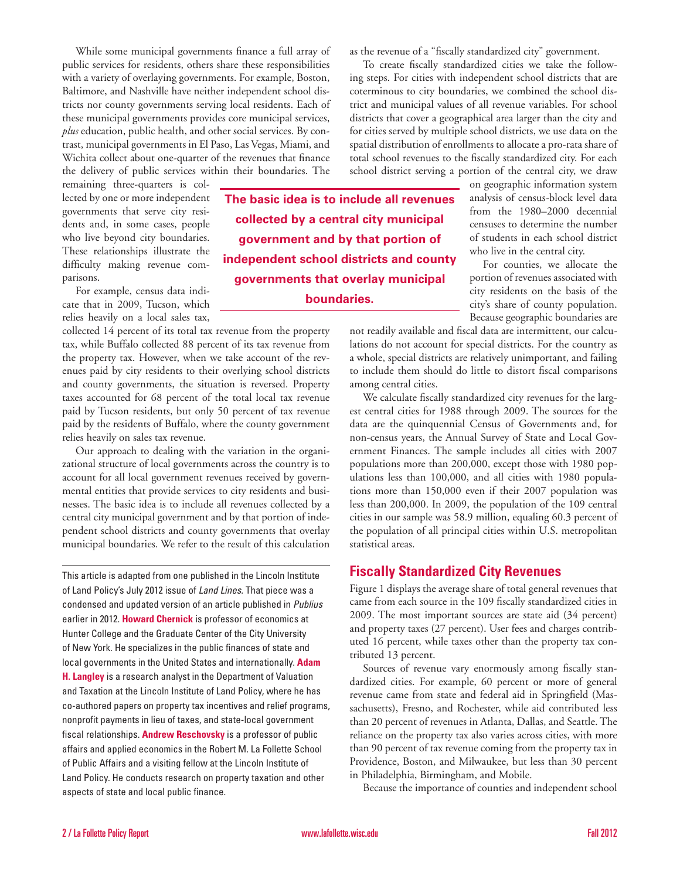While some municipal governments finance a full array of public services for residents, others share these responsibilities with a variety of overlaying governments. For example, Boston, Baltimore, and Nashville have neither independent school districts nor county governments serving local residents. Each of these municipal governments provides core municipal services, *plus* education, public health, and other social services. By contrast, municipal governments in El Paso, Las Vegas, Miami, and Wichita collect about one-quarter of the revenues that finance the delivery of public services within their boundaries. The

remaining three-quarters is collected by one or more independent governments that serve city residents and, in some cases, people who live beyond city boundaries. These relationships illustrate the difficulty making revenue comparisons.

For example, census data indicate that in 2009, Tucson, which relies heavily on a local sales tax,

collected 14 percent of its total tax revenue from the property tax, while Buffalo collected 88 percent of its tax revenue from the property tax. However, when we take account of the revenues paid by city residents to their overlying school districts and county governments, the situation is reversed. Property taxes accounted for 68 percent of the total local tax revenue paid by Tucson residents, but only 50 percent of tax revenue paid by the residents of Buffalo, where the county government relies heavily on sales tax revenue.

Our approach to dealing with the variation in the organizational structure of local governments across the country is to account for all local government revenues received by governmental entities that provide services to city residents and businesses. The basic idea is to include all revenues collected by a central city municipal government and by that portion of independent school districts and county governments that overlay municipal boundaries. We refer to the result of this calculation

This article is adapted from one published in the Lincoln Institute of Land Policy's July 2012 issue of *Land Lines*. That piece was a condensed and updated version of an article published in *Publius* earlier in 2012. **Howard Chernick** is professor of economics at Hunter College and the Graduate Center of the City University of New York. He specializes in the public finances of state and local governments in the United States and internationally. **Adam H. Langley** is a research analyst in the Department of Valuation and Taxation at the Lincoln Institute of Land Policy, where he has co-authored papers on property tax incentives and relief programs, nonprofit payments in lieu of taxes, and state-local government fiscal relationships. **Andrew Reschovsky** is a professor of public affairs and applied economics in the Robert M. La Follette School of Public Affairs and a visiting fellow at the Lincoln Institute of Land Policy. He conducts research on property taxation and other aspects of state and local public finance.

as the revenue of a "fiscally standardized city" government.

To create fiscally standardized cities we take the following steps. For cities with independent school districts that are coterminous to city boundaries, we combined the school district and municipal values of all revenue variables. For school districts that cover a geographical area larger than the city and for cities served by multiple school districts, we use data on the spatial distribution of enrollments to allocate a pro-rata share of total school revenues to the fiscally standardized city. For each school district serving a portion of the central city, we draw

**The basic idea is to include all revenues collected by a central city municipal government and by that portion of independent school districts and county governments that overlay municipal boundaries.** 

on geographic information system analysis of census-block level data from the 1980–2000 decennial censuses to determine the number of students in each school district who live in the central city.

For counties, we allocate the portion of revenues associated with city residents on the basis of the city's share of county population. Because geographic boundaries are

not readily available and fiscal data are intermittent, our calculations do not account for special districts. For the country as a whole, special districts are relatively unimportant, and failing to include them should do little to distort fiscal comparisons among central cities.

We calculate fiscally standardized city revenues for the largest central cities for 1988 through 2009. The sources for the data are the quinquennial Census of Governments and, for non-census years, the Annual Survey of State and Local Government Finances. The sample includes all cities with 2007 populations more than 200,000, except those with 1980 populations less than 100,000, and all cities with 1980 populations more than 150,000 even if their 2007 population was less than 200,000. In 2009, the population of the 109 central cities in our sample was 58.9 million, equaling 60.3 percent of the population of all principal cities within U.S. metropolitan statistical areas.

## **Fiscally Standardized City Revenues**

Figure 1 displays the average share of total general revenues that came from each source in the 109 fiscally standardized cities in 2009. The most important sources are state aid (34 percent) and property taxes (27 percent). User fees and charges contributed 16 percent, while taxes other than the property tax contributed 13 percent.

Sources of revenue vary enormously among fiscally standardized cities. For example, 60 percent or more of general revenue came from state and federal aid in Springfield (Massachusetts), Fresno, and Rochester, while aid contributed less than 20 percent of revenues in Atlanta, Dallas, and Seattle. The reliance on the property tax also varies across cities, with more than 90 percent of tax revenue coming from the property tax in Providence, Boston, and Milwaukee, but less than 30 percent in Philadelphia, Birmingham, and Mobile.

Because the importance of counties and independent school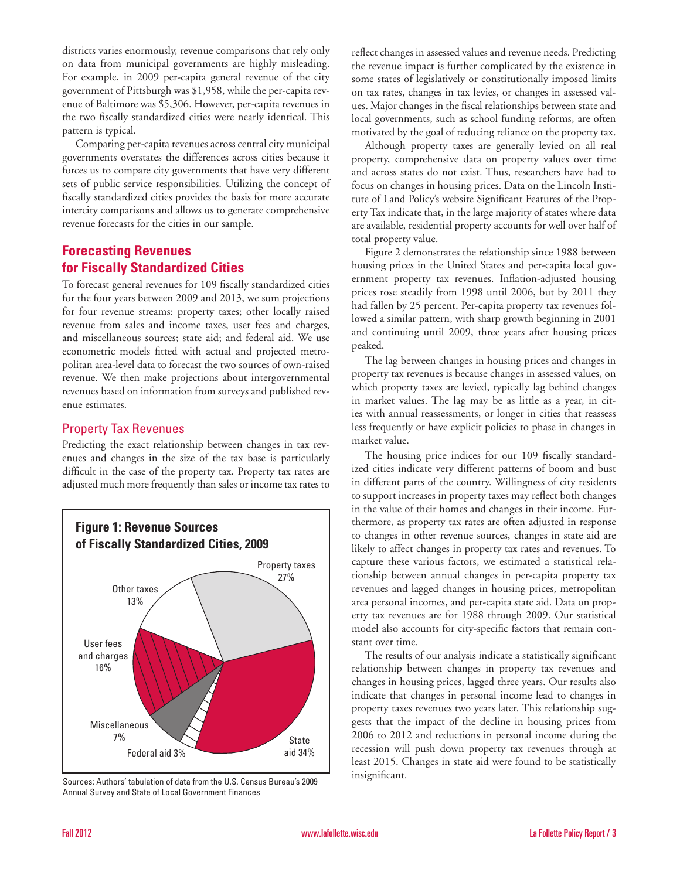districts varies enormously, revenue comparisons that rely only on data from municipal governments are highly misleading. For example, in 2009 per-capita general revenue of the city government of Pittsburgh was \$1,958, while the per-capita revenue of Baltimore was \$5,306. However, per-capita revenues in the two fiscally standardized cities were nearly identical. This pattern is typical.

Comparing per-capita revenues across central city municipal governments overstates the differences across cities because it forces us to compare city governments that have very different sets of public service responsibilities. Utilizing the concept of fiscally standardized cities provides the basis for more accurate intercity comparisons and allows us to generate comprehensive revenue forecasts for the cities in our sample.

# **Forecasting Revenues for Fiscally Standardized Cities**

To forecast general revenues for 109 fiscally standardized cities for the four years between 2009 and 2013, we sum projections for four revenue streams: property taxes; other locally raised revenue from sales and income taxes, user fees and charges, and miscellaneous sources; state aid; and federal aid. We use econometric models fitted with actual and projected metropolitan area-level data to forecast the two sources of own-raised revenue. We then make projections about intergovernmental revenues based on information from surveys and published revenue estimates.

# Property Tax Revenues

Predicting the exact relationship between changes in tax revenues and changes in the size of the tax base is particularly difficult in the case of the property tax. Property tax rates are adjusted much more frequently than sales or income tax rates to



Sources: Authors' tabulation of data from the U.S. Census Bureau's 2009 Annual Survey and State of Local Government Finances

reflect changes in assessed values and revenue needs. Predicting the revenue impact is further complicated by the existence in some states of legislatively or constitutionally imposed limits on tax rates, changes in tax levies, or changes in assessed values. Major changes in the fiscal relationships between state and local governments, such as school funding reforms, are often motivated by the goal of reducing reliance on the property tax.

Although property taxes are generally levied on all real property, comprehensive data on property values over time and across states do not exist. Thus, researchers have had to focus on changes in housing prices. Data on the Lincoln Institute of Land Policy's website Significant Features of the Property Tax indicate that, in the large majority of states where data are available, residential property accounts for well over half of total property value.

Figure 2 demonstrates the relationship since 1988 between housing prices in the United States and per-capita local government property tax revenues. Inflation-adjusted housing prices rose steadily from 1998 until 2006, but by 2011 they had fallen by 25 percent. Per-capita property tax revenues followed a similar pattern, with sharp growth beginning in 2001 and continuing until 2009, three years after housing prices peaked.

The lag between changes in housing prices and changes in property tax revenues is because changes in assessed values, on which property taxes are levied, typically lag behind changes in market values. The lag may be as little as a year, in cities with annual reassessments, or longer in cities that reassess less frequently or have explicit policies to phase in changes in market value.

The housing price indices for our 109 fiscally standardized cities indicate very different patterns of boom and bust in different parts of the country. Willingness of city residents to support increases in property taxes may reflect both changes in the value of their homes and changes in their income. Furthermore, as property tax rates are often adjusted in response to changes in other revenue sources, changes in state aid are likely to affect changes in property tax rates and revenues. To capture these various factors, we estimated a statistical relationship between annual changes in per-capita property tax revenues and lagged changes in housing prices, metropolitan area personal incomes, and per-capita state aid. Data on property tax revenues are for 1988 through 2009. Our statistical model also accounts for city-specific factors that remain constant over time.

The results of our analysis indicate a statistically significant relationship between changes in property tax revenues and changes in housing prices, lagged three years. Our results also indicate that changes in personal income lead to changes in property taxes revenues two years later. This relationship suggests that the impact of the decline in housing prices from 2006 to 2012 and reductions in personal income during the recession will push down property tax revenues through at least 2015. Changes in state aid were found to be statistically insignificant.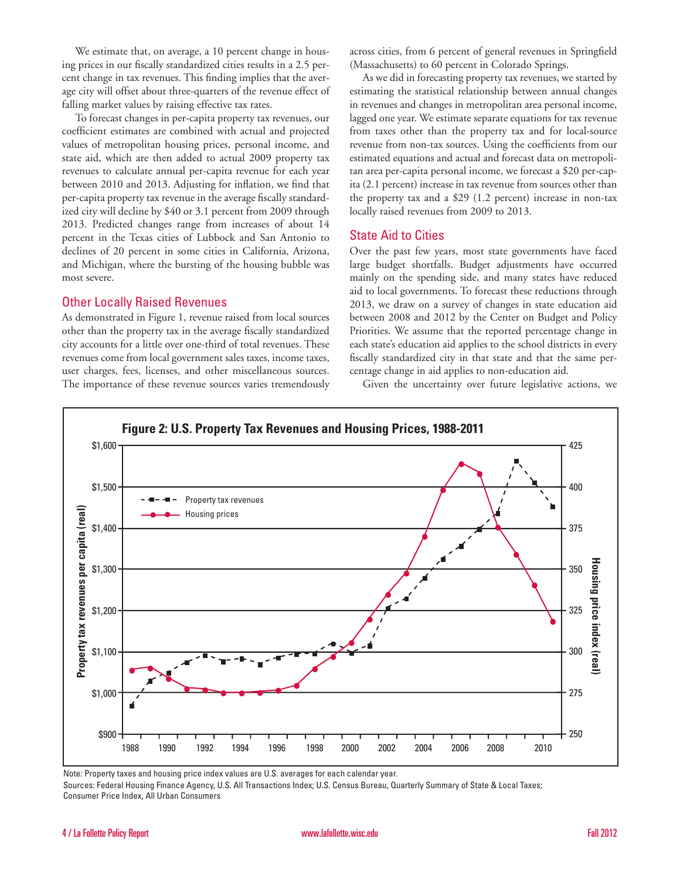We estimate that, on average, a 10 percent change in housing prices in our fiscally standardized cities results in a 2.5 percent change in tax revenues. This finding implies that the average city will offset about three-quarters of the revenue effect of falling market values by raising effective tax rates.

To forecast changes in per-capita property tax revenues, our coefficient estimates are combined with actual and projected values of metropolitan housing prices, personal income, and state aid, which are then added to actual 2009 property tax revenues to calculate annual per-capita revenue for each year between 2010 and 2013. Adjusting for inflation, we find that per-capita property tax revenue in the average fiscally standardized city will decline by \$40 or 3.1 percent from 2009 through 2013. Predicted changes range from increases of about 14 percent in the Texas cities of Lubbock and San Antonio to declines of 20 percent in some cities in California, Arizona, and Michigan, where the bursting of the housing bubble was most severe.

#### Other Locally Raised Revenues

As demonstrated in Figure 1, revenue raised from local sources other than the property tax in the average fiscally standardized city accounts for a little over one-third of total revenues. These revenues come from local government sales taxes, income taxes, user charges, fees, licenses, and other miscellaneous sources. The importance of these revenue sources varies tremendously across cities, from 6 percent of general revenues in Springfield (Massachusetts) to 60 percent in Colorado Springs.

As we did in forecasting property tax revenues, we started by estimating the statistical relationship between annual changes in revenues and changes in metropolitan area personal income, lagged one year. We estimate separate equations for tax revenue from taxes other than the property tax and for local-source revenue from non-tax sources. Using the coefficients from our estimated equations and actual and forecast data on metropolitan area per-capita personal income, we forecast a \$20 per-capita (2.1 percent) increase in tax revenue from sources other than the property tax and a \$29 (1.2 percent) increase in non-tax locally raised revenues from 2009 to 2013.

#### State Aid to Cities

Over the past few years, most state governments have faced large budget shortfalls. Budget adjustments have occurred mainly on the spending side, and many states have reduced aid to local governments. To forecast these reductions through 2013, we draw on a survey of changes in state education aid between 2008 and 2012 by the Center on Budget and Policy Priorities. We assume that the reported percentage change in each state's education aid applies to the school districts in every fiscally standardized city in that state and that the same percentage change in aid applies to non-education aid.

Given the uncertainty over future legislative actions, we



Note: Property taxes and housing price index values are U.S. averages for each calendar year. Sources: Federal Housing Finance Agency, U.S. All Transactions Index; U.S. Census Bureau, Quarterly Summary of State & Local Taxes; Consumer Price Index, All Urban Consumers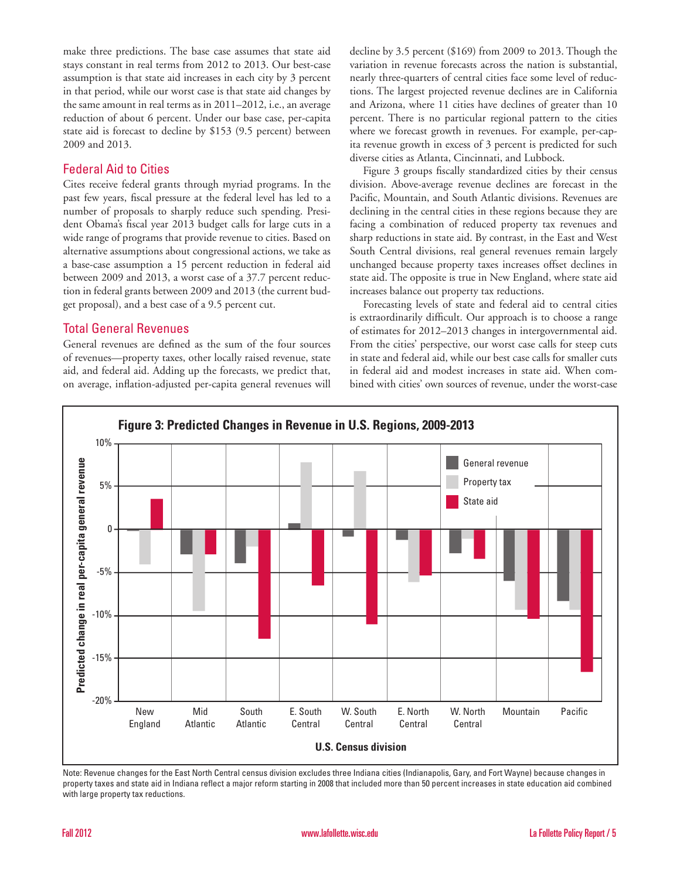make three predictions. The base case assumes that state aid stays constant in real terms from 2012 to 2013. Our best-case assumption is that state aid increases in each city by 3 percent in that period, while our worst case is that state aid changes by the same amount in real terms as in 2011–2012, i.e., an average reduction of about 6 percent. Under our base case, per-capita state aid is forecast to decline by \$153 (9.5 percent) between 2009 and 2013.

### Federal Aid to Cities

Cites receive federal grants through myriad programs. In the past few years, fiscal pressure at the federal level has led to a number of proposals to sharply reduce such spending. President Obama's fiscal year 2013 budget calls for large cuts in a wide range of programs that provide revenue to cities. Based on alternative assumptions about congressional actions, we take as a base-case assumption a 15 percent reduction in federal aid between 2009 and 2013, a worst case of a 37.7 percent reduction in federal grants between 2009 and 2013 (the current budget proposal), and a best case of a 9.5 percent cut.

## Total General Revenues

General revenues are defined as the sum of the four sources of revenues—property taxes, other locally raised revenue, state aid, and federal aid. Adding up the forecasts, we predict that, on average, inflation-adjusted per-capita general revenues will decline by 3.5 percent (\$169) from 2009 to 2013. Though the variation in revenue forecasts across the nation is substantial, nearly three-quarters of central cities face some level of reductions. The largest projected revenue declines are in California and Arizona, where 11 cities have declines of greater than 10 percent. There is no particular regional pattern to the cities where we forecast growth in revenues. For example, per-capita revenue growth in excess of 3 percent is predicted for such diverse cities as Atlanta, Cincinnati, and Lubbock.

Figure 3 groups fiscally standardized cities by their census division. Above-average revenue declines are forecast in the Pacific, Mountain, and South Atlantic divisions. Revenues are declining in the central cities in these regions because they are facing a combination of reduced property tax revenues and sharp reductions in state aid. By contrast, in the East and West South Central divisions, real general revenues remain largely unchanged because property taxes increases offset declines in state aid. The opposite is true in New England, where state aid increases balance out property tax reductions.

Forecasting levels of state and federal aid to central cities is extraordinarily difficult. Our approach is to choose a range of estimates for 2012–2013 changes in intergovernmental aid. From the cities' perspective, our worst case calls for steep cuts in state and federal aid, while our best case calls for smaller cuts in federal aid and modest increases in state aid. When combined with cities' own sources of revenue, under the worst-case



Note: Revenue changes for the East North Central census division excludes three Indiana cities (Indianapolis, Gary, and Fort Wayne) because changes in property taxes and state aid in Indiana reflect a major reform starting in 2008 that included more than 50 percent increases in state education aid combined with large property tax reductions.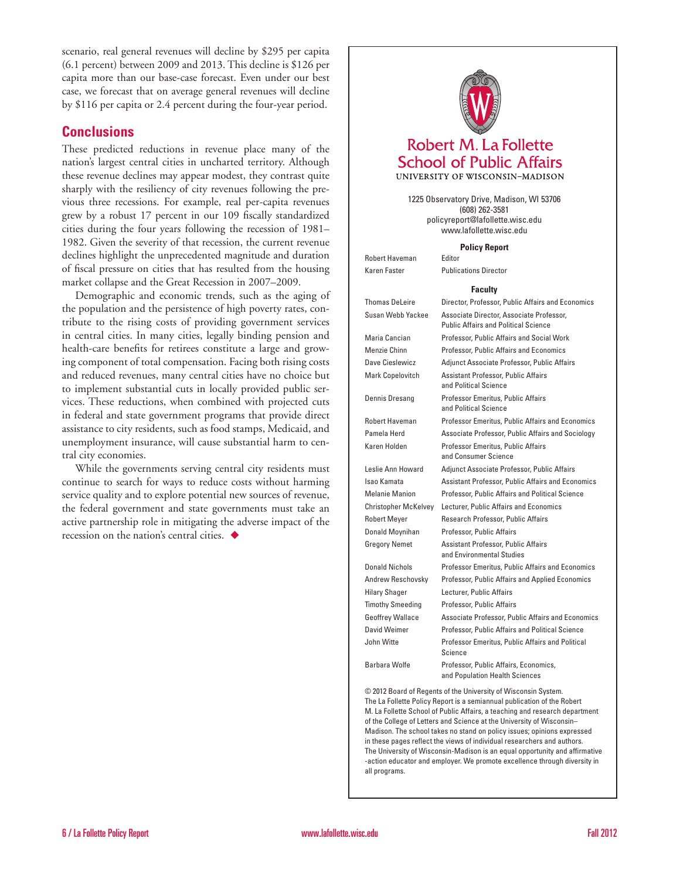scenario, real general revenues will decline by \$295 per capita (6.1 percent) between 2009 and 2013. This decline is \$126 per capita more than our base-case forecast. Even under our best case, we forecast that on average general revenues will decline by \$116 per capita or 2.4 percent during the four-year period.

# **Conclusions**

These predicted reductions in revenue place many of the nation's largest central cities in uncharted territory. Although these revenue declines may appear modest, they contrast quite sharply with the resiliency of city revenues following the previous three recessions. For example, real per-capita revenues grew by a robust 17 percent in our 109 fiscally standardized cities during the four years following the recession of 1981– 1982. Given the severity of that recession, the current revenue declines highlight the unprecedented magnitude and duration of fiscal pressure on cities that has resulted from the housing market collapse and the Great Recession in 2007–2009.

Demographic and economic trends, such as the aging of the population and the persistence of high poverty rates, contribute to the rising costs of providing government services in central cities. In many cities, legally binding pension and health-care benefits for retirees constitute a large and growing component of total compensation. Facing both rising costs and reduced revenues, many central cities have no choice but to implement substantial cuts in locally provided public services. These reductions, when combined with projected cuts in federal and state government programs that provide direct assistance to city residents, such as food stamps, Medicaid, and unemployment insurance, will cause substantial harm to central city economies.

While the governments serving central city residents must continue to search for ways to reduce costs without harming service quality and to explore potential new sources of revenue, the federal government and state governments must take an active partnership role in mitigating the adverse impact of the recession on the nation's central cities.  $\blacklozenge$ 



1225 Observatory Drive, Madison, WI 53706 (608) 262-3581 policyreport@lafollette.wisc.edu www.lafollette.wisc.edu

**Policy Report**

Robert Haveman Editor Karen Faster Publications Director

#### **Faculty**

| <b>Thomas DeLeire</b>   | Director, Professor, Public Affairs and Economics                                       |
|-------------------------|-----------------------------------------------------------------------------------------|
| Susan Webb Yackee       | Associate Director, Associate Professor,<br><b>Public Affairs and Political Science</b> |
| Maria Cancian           | Professor, Public Affairs and Social Work                                               |
| Menzie Chinn            | Professor, Public Affairs and Economics                                                 |
| Dave Cieslewicz         | Adjunct Associate Professor, Public Affairs                                             |
| Mark Copelovitch        | Assistant Professor, Public Affairs<br>and Political Science                            |
| Dennis Dresang          | Professor Emeritus, Public Affairs<br>and Political Science                             |
| Robert Haveman          | <b>Professor Emeritus, Public Affairs and Economics</b>                                 |
| Pamela Herd             | Associate Professor, Public Affairs and Sociology                                       |
| Karen Holden            | Professor Emeritus, Public Affairs<br>and Consumer Science                              |
| Leslie Ann Howard       | Adjunct Associate Professor, Public Affairs                                             |
| Isao Kamata             | Assistant Professor, Public Affairs and Economics                                       |
| <b>Melanie Manion</b>   | Professor, Public Affairs and Political Science                                         |
| Christopher McKelvey    | Lecturer, Public Affairs and Economics                                                  |
| <b>Robert Meyer</b>     | Research Professor, Public Affairs                                                      |
| Donald Moynihan         | Professor, Public Affairs                                                               |
| Gregory Nemet           | Assistant Professor, Public Affairs<br>and Environmental Studies                        |
| <b>Donald Nichols</b>   | <b>Professor Emeritus, Public Affairs and Economics</b>                                 |
| Andrew Reschovsky       | Professor, Public Affairs and Applied Economics                                         |
| Hilary Shager           | Lecturer, Public Affairs                                                                |
| <b>Timothy Smeeding</b> | Professor, Public Affairs                                                               |
| <b>Geoffrey Wallace</b> | Associate Professor, Public Affairs and Economics                                       |
| David Weimer            | Professor, Public Affairs and Political Science                                         |
| John Witte              | Professor Emeritus, Public Affairs and Political<br>Science                             |
| Barbara Wolfe           | Professor, Public Affairs, Economics,<br>and Population Health Sciences                 |

© 2012 Board of Regents of the University of Wisconsin System. The La Follette Policy Report is a semiannual publication of the Robert M. La Follette School of Public Affairs, a teaching and research department of the College of Letters and Science at the University of Wisconsin– Madison. The school takes no stand on policy issues; opinions expressed in these pages reflect the views of individual researchers and authors. The University of Wisconsin-Madison is an equal opportunity and affirmative -action educator and employer. We promote excellence through diversity in all programs.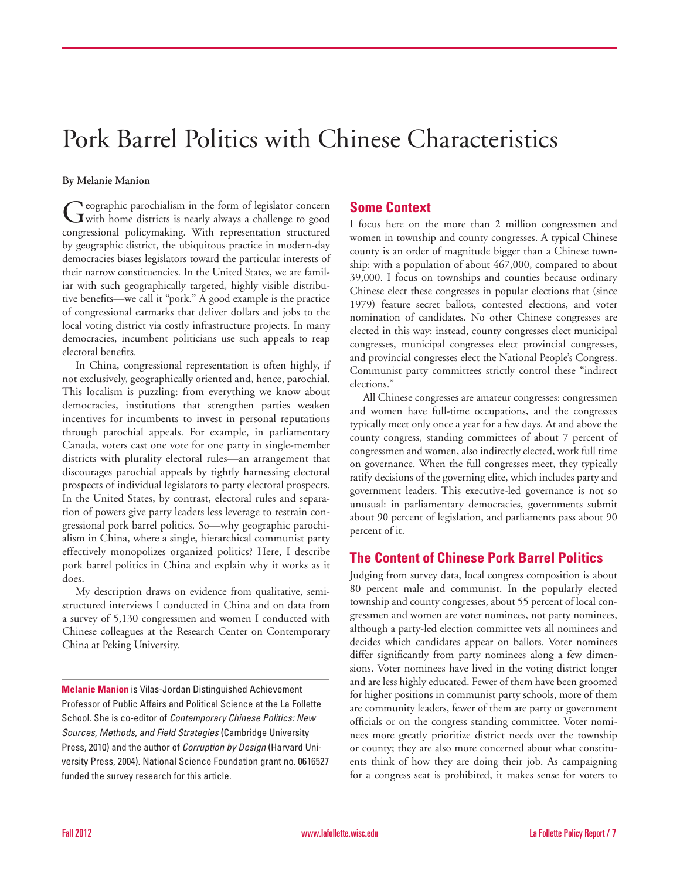# Pork Barrel Politics with Chinese Characteristics

#### **By Melanie Manion**

Geographic parochialism in the form of legislator concern<br>
with home districts is nearly always a challenge to good congressional policymaking. With representation structured by geographic district, the ubiquitous practice in modern-day democracies biases legislators toward the particular interests of their narrow constituencies. In the United States, we are familiar with such geographically targeted, highly visible distributive benefits—we call it "pork." A good example is the practice of congressional earmarks that deliver dollars and jobs to the local voting district via costly infrastructure projects. In many democracies, incumbent politicians use such appeals to reap electoral benefits.

In China, congressional representation is often highly, if not exclusively, geographically oriented and, hence, parochial. This localism is puzzling: from everything we know about democracies, institutions that strengthen parties weaken incentives for incumbents to invest in personal reputations through parochial appeals. For example, in parliamentary Canada, voters cast one vote for one party in single-member districts with plurality electoral rules—an arrangement that discourages parochial appeals by tightly harnessing electoral prospects of individual legislators to party electoral prospects. In the United States, by contrast, electoral rules and separation of powers give party leaders less leverage to restrain congressional pork barrel politics. So—why geographic parochialism in China, where a single, hierarchical communist party effectively monopolizes organized politics? Here, I describe pork barrel politics in China and explain why it works as it does.

My description draws on evidence from qualitative, semistructured interviews I conducted in China and on data from a survey of 5,130 congressmen and women I conducted with Chinese colleagues at the Research Center on Contemporary China at Peking University.

**Melanie Manion** is Vilas-Jordan Distinguished Achievement Professor of Public Affairs and Political Science at the La Follette School. She is co-editor of *Contemporary Chinese Politics: New Sources, Methods, and Field Strategies* (Cambridge University Press, 2010) and the author of *Corruption by Design* (Harvard University Press, 2004). National Science Foundation grant no. 0616527 funded the survey research for this article.

# **Some Context**

I focus here on the more than 2 million congressmen and women in township and county congresses. A typical Chinese county is an order of magnitude bigger than a Chinese township: with a population of about 467,000, compared to about 39,000. I focus on townships and counties because ordinary Chinese elect these congresses in popular elections that (since 1979) feature secret ballots, contested elections, and voter nomination of candidates. No other Chinese congresses are elected in this way: instead, county congresses elect municipal congresses, municipal congresses elect provincial congresses, and provincial congresses elect the National People's Congress. Communist party committees strictly control these "indirect elections."

All Chinese congresses are amateur congresses: congressmen and women have full-time occupations, and the congresses typically meet only once a year for a few days. At and above the county congress, standing committees of about 7 percent of congressmen and women, also indirectly elected, work full time on governance. When the full congresses meet, they typically ratify decisions of the governing elite, which includes party and government leaders. This executive-led governance is not so unusual: in parliamentary democracies, governments submit about 90 percent of legislation, and parliaments pass about 90 percent of it.

# **The Content of Chinese Pork Barrel Politics**

Judging from survey data, local congress composition is about 80 percent male and communist. In the popularly elected township and county congresses, about 55 percent of local congressmen and women are voter nominees, not party nominees, although a party-led election committee vets all nominees and decides which candidates appear on ballots. Voter nominees differ significantly from party nominees along a few dimensions. Voter nominees have lived in the voting district longer and are less highly educated. Fewer of them have been groomed for higher positions in communist party schools, more of them are community leaders, fewer of them are party or government officials or on the congress standing committee. Voter nominees more greatly prioritize district needs over the township or county; they are also more concerned about what constituents think of how they are doing their job. As campaigning for a congress seat is prohibited, it makes sense for voters to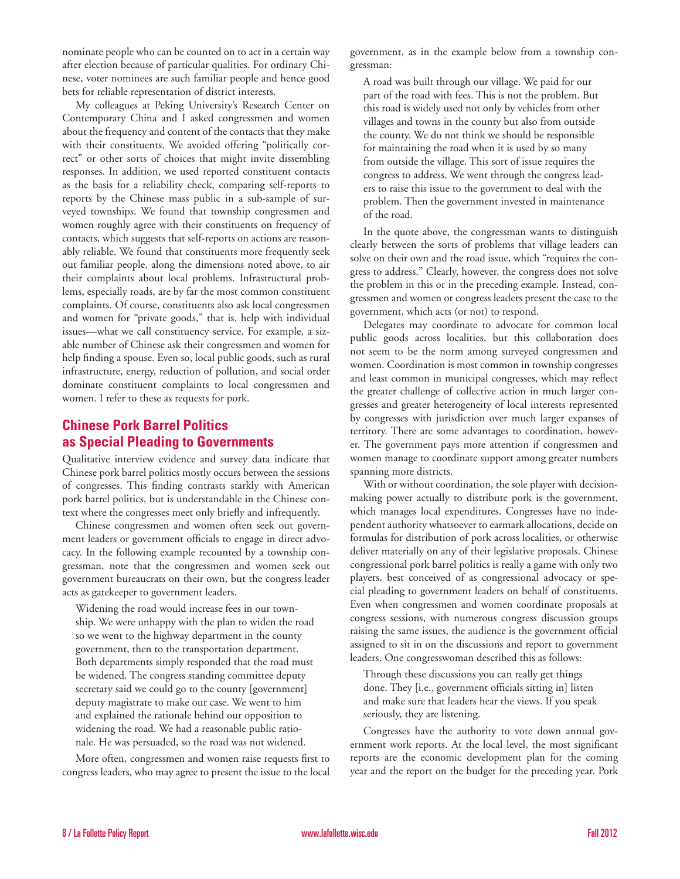nominate people who can be counted on to act in a certain way after election because of particular qualities. For ordinary Chinese, voter nominees are such familiar people and hence good bets for reliable representation of district interests.

My colleagues at Peking University's Research Center on Contemporary China and I asked congressmen and women about the frequency and content of the contacts that they make with their constituents. We avoided offering "politically correct" or other sorts of choices that might invite dissembling responses. In addition, we used reported constituent contacts as the basis for a reliability check, comparing self-reports to reports by the Chinese mass public in a sub-sample of surveyed townships. We found that township congressmen and women roughly agree with their constituents on frequency of contacts, which suggests that self-reports on actions are reasonably reliable. We found that constituents more frequently seek out familiar people, along the dimensions noted above, to air their complaints about local problems. Infrastructural problems, especially roads, are by far the most common constituent complaints. Of course, constituents also ask local congressmen and women for "private goods," that is, help with individual issues—what we call constituency service. For example, a sizable number of Chinese ask their congressmen and women for help finding a spouse. Even so, local public goods, such as rural infrastructure, energy, reduction of pollution, and social order dominate constituent complaints to local congressmen and women. I refer to these as requests for pork.

# **Chinese Pork Barrel Politics as Special Pleading to Governments**

Qualitative interview evidence and survey data indicate that Chinese pork barrel politics mostly occurs between the sessions of congresses. This finding contrasts starkly with American pork barrel politics, but is understandable in the Chinese context where the congresses meet only briefly and infrequently.

Chinese congressmen and women often seek out government leaders or government officials to engage in direct advocacy. In the following example recounted by a township congressman, note that the congressmen and women seek out government bureaucrats on their own, but the congress leader acts as gatekeeper to government leaders.

Widening the road would increase fees in our township. We were unhappy with the plan to widen the road so we went to the highway department in the county government, then to the transportation department. Both departments simply responded that the road must be widened. The congress standing committee deputy secretary said we could go to the county [government] deputy magistrate to make our case. We went to him and explained the rationale behind our opposition to widening the road. We had a reasonable public rationale. He was persuaded, so the road was not widened.

More often, congressmen and women raise requests first to congress leaders, who may agree to present the issue to the local

government, as in the example below from a township congressman:

A road was built through our village. We paid for our part of the road with fees. This is not the problem. But this road is widely used not only by vehicles from other villages and towns in the county but also from outside the county. We do not think we should be responsible for maintaining the road when it is used by so many from outside the village. This sort of issue requires the congress to address. We went through the congress leaders to raise this issue to the government to deal with the problem. Then the government invested in maintenance of the road.

In the quote above, the congressman wants to distinguish clearly between the sorts of problems that village leaders can solve on their own and the road issue, which "requires the congress to address." Clearly, however, the congress does not solve the problem in this or in the preceding example. Instead, congressmen and women or congress leaders present the case to the government, which acts (or not) to respond.

Delegates may coordinate to advocate for common local public goods across localities, but this collaboration does not seem to be the norm among surveyed congressmen and women. Coordination is most common in township congresses and least common in municipal congresses, which may reflect the greater challenge of collective action in much larger congresses and greater heterogeneity of local interests represented by congresses with jurisdiction over much larger expanses of territory. There are some advantages to coordination, however. The government pays more attention if congressmen and women manage to coordinate support among greater numbers spanning more districts.

With or without coordination, the sole player with decisionmaking power actually to distribute pork is the government, which manages local expenditures. Congresses have no independent authority whatsoever to earmark allocations, decide on formulas for distribution of pork across localities, or otherwise deliver materially on any of their legislative proposals. Chinese congressional pork barrel politics is really a game with only two players, best conceived of as congressional advocacy or special pleading to government leaders on behalf of constituents. Even when congressmen and women coordinate proposals at congress sessions, with numerous congress discussion groups raising the same issues, the audience is the government official assigned to sit in on the discussions and report to government leaders. One congresswoman described this as follows:

Through these discussions you can really get things done. They [i.e., government officials sitting in] listen and make sure that leaders hear the views. If you speak seriously, they are listening.

Congresses have the authority to vote down annual government work reports. At the local level, the most significant reports are the economic development plan for the coming year and the report on the budget for the preceding year. Pork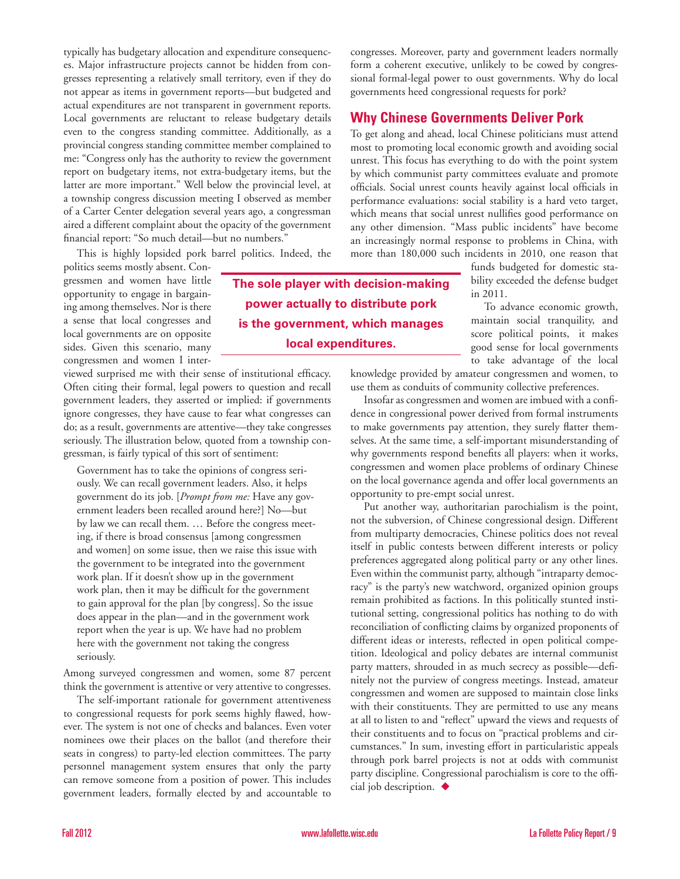typically has budgetary allocation and expenditure consequences. Major infrastructure projects cannot be hidden from congresses representing a relatively small territory, even if they do not appear as items in government reports—but budgeted and actual expenditures are not transparent in government reports. Local governments are reluctant to release budgetary details even to the congress standing committee. Additionally, as a provincial congress standing committee member complained to me: "Congress only has the authority to review the government report on budgetary items, not extra-budgetary items, but the latter are more important." Well below the provincial level, at a township congress discussion meeting I observed as member of a Carter Center delegation several years ago, a congressman aired a different complaint about the opacity of the government financial report: "So much detail—but no numbers."

This is highly lopsided pork barrel politics. Indeed, the

politics seems mostly absent. Congressmen and women have little opportunity to engage in bargaining among themselves. Nor is there a sense that local congresses and local governments are on opposite sides. Given this scenario, many congressmen and women I inter-

viewed surprised me with their sense of institutional efficacy. Often citing their formal, legal powers to question and recall government leaders, they asserted or implied: if governments ignore congresses, they have cause to fear what congresses can do; as a result, governments are attentive—they take congresses seriously. The illustration below, quoted from a township congressman, is fairly typical of this sort of sentiment:

Government has to take the opinions of congress seriously. We can recall government leaders. Also, it helps government do its job. [*Prompt from me:* Have any government leaders been recalled around here?] No—but by law we can recall them. … Before the congress meeting, if there is broad consensus [among congressmen and women] on some issue, then we raise this issue with the government to be integrated into the government work plan. If it doesn't show up in the government work plan, then it may be difficult for the government to gain approval for the plan [by congress]. So the issue does appear in the plan—and in the government work report when the year is up. We have had no problem here with the government not taking the congress seriously.

Among surveyed congressmen and women, some 87 percent think the government is attentive or very attentive to congresses.

The self-important rationale for government attentiveness to congressional requests for pork seems highly flawed, however. The system is not one of checks and balances. Even voter nominees owe their places on the ballot (and therefore their seats in congress) to party-led election committees. The party personnel management system ensures that only the party can remove someone from a position of power. This includes government leaders, formally elected by and accountable to

congresses. Moreover, party and government leaders normally form a coherent executive, unlikely to be cowed by congressional formal-legal power to oust governments. Why do local governments heed congressional requests for pork?

# **Why Chinese Governments Deliver Pork**

To get along and ahead, local Chinese politicians must attend most to promoting local economic growth and avoiding social unrest. This focus has everything to do with the point system by which communist party committees evaluate and promote officials. Social unrest counts heavily against local officials in performance evaluations: social stability is a hard veto target, which means that social unrest nullifies good performance on any other dimension. "Mass public incidents" have become an increasingly normal response to problems in China, with more than 180,000 such incidents in 2010, one reason that

funds budgeted for domestic stability exceeded the defense budget in 2011.

To advance economic growth, maintain social tranquility, and score political points, it makes good sense for local governments to take advantage of the local

knowledge provided by amateur congressmen and women, to use them as conduits of community collective preferences.

Insofar as congressmen and women are imbued with a confidence in congressional power derived from formal instruments to make governments pay attention, they surely flatter themselves. At the same time, a self-important misunderstanding of why governments respond benefits all players: when it works, congressmen and women place problems of ordinary Chinese on the local governance agenda and offer local governments an opportunity to pre-empt social unrest.

Put another way, authoritarian parochialism is the point, not the subversion, of Chinese congressional design. Different from multiparty democracies, Chinese politics does not reveal itself in public contests between different interests or policy preferences aggregated along political party or any other lines. Even within the communist party, although "intraparty democracy" is the party's new watchword, organized opinion groups remain prohibited as factions. In this politically stunted institutional setting, congressional politics has nothing to do with reconciliation of conflicting claims by organized proponents of different ideas or interests, reflected in open political competition. Ideological and policy debates are internal communist party matters, shrouded in as much secrecy as possible—definitely not the purview of congress meetings. Instead, amateur congressmen and women are supposed to maintain close links with their constituents. They are permitted to use any means at all to listen to and "reflect" upward the views and requests of their constituents and to focus on "practical problems and circumstances." In sum, investing effort in particularistic appeals through pork barrel projects is not at odds with communist party discipline. Congressional parochialism is core to the official job description.  $\blacklozenge$ 

**The sole player with decision-making power actually to distribute pork is the government, which manages local expenditures.**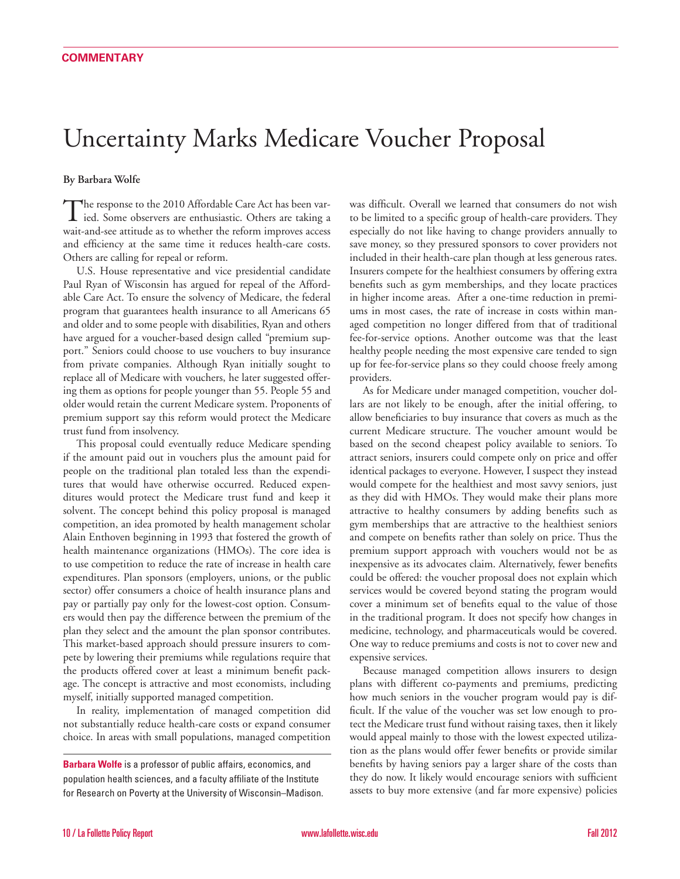# Uncertainty Marks Medicare Voucher Proposal

#### **By Barbara Wolfe**

The response to the 2010 Affordable Care Act has been varied. Some observers are enthusiastic. Others are taking a wait-and-see attitude as to whether the reform improves access and efficiency at the same time it reduces health-care costs. Others are calling for repeal or reform.

U.S. House representative and vice presidential candidate Paul Ryan of Wisconsin has argued for repeal of the Affordable Care Act. To ensure the solvency of Medicare, the federal program that guarantees health insurance to all Americans 65 and older and to some people with disabilities, Ryan and others have argued for a voucher-based design called "premium support." Seniors could choose to use vouchers to buy insurance from private companies. Although Ryan initially sought to replace all of Medicare with vouchers, he later suggested offering them as options for people younger than 55. People 55 and older would retain the current Medicare system. Proponents of premium support say this reform would protect the Medicare trust fund from insolvency.

This proposal could eventually reduce Medicare spending if the amount paid out in vouchers plus the amount paid for people on the traditional plan totaled less than the expenditures that would have otherwise occurred. Reduced expenditures would protect the Medicare trust fund and keep it solvent. The concept behind this policy proposal is managed competition, an idea promoted by health management scholar Alain Enthoven beginning in 1993 that fostered the growth of health maintenance organizations (HMOs). The core idea is to use competition to reduce the rate of increase in health care expenditures. Plan sponsors (employers, unions, or the public sector) offer consumers a choice of health insurance plans and pay or partially pay only for the lowest-cost option. Consumers would then pay the difference between the premium of the plan they select and the amount the plan sponsor contributes. This market-based approach should pressure insurers to compete by lowering their premiums while regulations require that the products offered cover at least a minimum benefit package. The concept is attractive and most economists, including myself, initially supported managed competition.

In reality, implementation of managed competition did not substantially reduce health-care costs or expand consumer choice. In areas with small populations, managed competition

was difficult. Overall we learned that consumers do not wish to be limited to a specific group of health-care providers. They especially do not like having to change providers annually to save money, so they pressured sponsors to cover providers not included in their health-care plan though at less generous rates. Insurers compete for the healthiest consumers by offering extra benefits such as gym memberships, and they locate practices in higher income areas. After a one-time reduction in premiums in most cases, the rate of increase in costs within managed competition no longer differed from that of traditional fee-for-service options. Another outcome was that the least healthy people needing the most expensive care tended to sign up for fee-for-service plans so they could choose freely among providers.

As for Medicare under managed competition, voucher dollars are not likely to be enough, after the initial offering, to allow beneficiaries to buy insurance that covers as much as the current Medicare structure. The voucher amount would be based on the second cheapest policy available to seniors. To attract seniors, insurers could compete only on price and offer identical packages to everyone. However, I suspect they instead would compete for the healthiest and most savvy seniors, just as they did with HMOs. They would make their plans more attractive to healthy consumers by adding benefits such as gym memberships that are attractive to the healthiest seniors and compete on benefits rather than solely on price. Thus the premium support approach with vouchers would not be as inexpensive as its advocates claim. Alternatively, fewer benefits could be offered: the voucher proposal does not explain which services would be covered beyond stating the program would cover a minimum set of benefits equal to the value of those in the traditional program. It does not specify how changes in medicine, technology, and pharmaceuticals would be covered. One way to reduce premiums and costs is not to cover new and expensive services.

Because managed competition allows insurers to design plans with different co-payments and premiums, predicting how much seniors in the voucher program would pay is difficult. If the value of the voucher was set low enough to protect the Medicare trust fund without raising taxes, then it likely would appeal mainly to those with the lowest expected utilization as the plans would offer fewer benefits or provide similar benefits by having seniors pay a larger share of the costs than they do now. It likely would encourage seniors with sufficient assets to buy more extensive (and far more expensive) policies

**Barbara Wolfe** is a professor of public affairs, economics, and population health sciences, and a faculty affiliate of the Institute for Research on Poverty at the University of Wisconsin–Madison.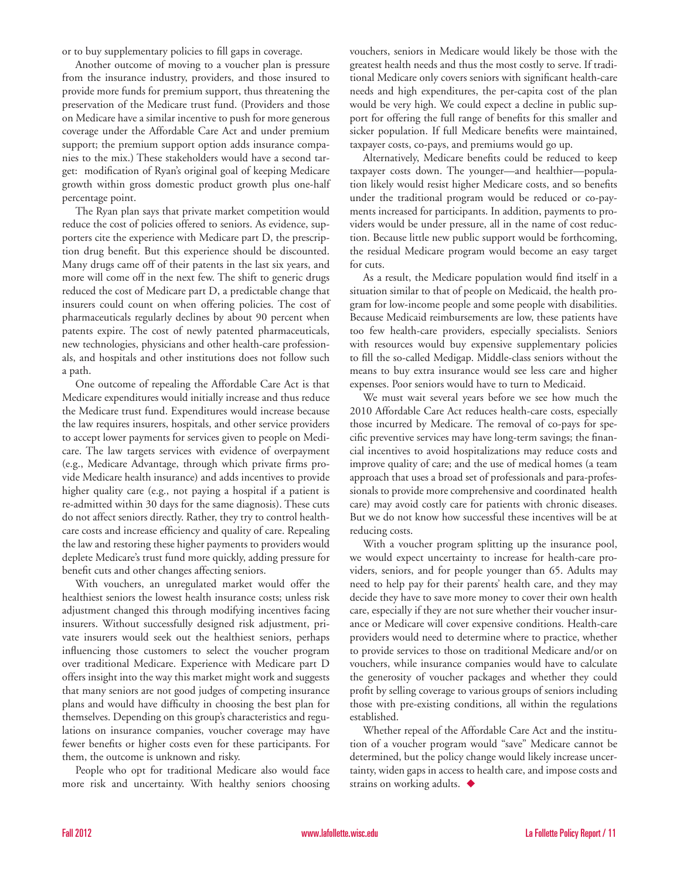or to buy supplementary policies to fill gaps in coverage.

Another outcome of moving to a voucher plan is pressure from the insurance industry, providers, and those insured to provide more funds for premium support, thus threatening the preservation of the Medicare trust fund. (Providers and those on Medicare have a similar incentive to push for more generous coverage under the Affordable Care Act and under premium support; the premium support option adds insurance companies to the mix.) These stakeholders would have a second target: modification of Ryan's original goal of keeping Medicare growth within gross domestic product growth plus one-half percentage point.

The Ryan plan says that private market competition would reduce the cost of policies offered to seniors. As evidence, supporters cite the experience with Medicare part D, the prescription drug benefit. But this experience should be discounted. Many drugs came off of their patents in the last six years, and more will come off in the next few. The shift to generic drugs reduced the cost of Medicare part D, a predictable change that insurers could count on when offering policies. The cost of pharmaceuticals regularly declines by about 90 percent when patents expire. The cost of newly patented pharmaceuticals, new technologies, physicians and other health-care professionals, and hospitals and other institutions does not follow such a path.

One outcome of repealing the Affordable Care Act is that Medicare expenditures would initially increase and thus reduce the Medicare trust fund. Expenditures would increase because the law requires insurers, hospitals, and other service providers to accept lower payments for services given to people on Medicare. The law targets services with evidence of overpayment (e.g., Medicare Advantage, through which private firms provide Medicare health insurance) and adds incentives to provide higher quality care (e.g., not paying a hospital if a patient is re-admitted within 30 days for the same diagnosis). These cuts do not affect seniors directly. Rather, they try to control healthcare costs and increase efficiency and quality of care. Repealing the law and restoring these higher payments to providers would deplete Medicare's trust fund more quickly, adding pressure for benefit cuts and other changes affecting seniors.

With vouchers, an unregulated market would offer the healthiest seniors the lowest health insurance costs; unless risk adjustment changed this through modifying incentives facing insurers. Without successfully designed risk adjustment, private insurers would seek out the healthiest seniors, perhaps influencing those customers to select the voucher program over traditional Medicare. Experience with Medicare part D offers insight into the way this market might work and suggests that many seniors are not good judges of competing insurance plans and would have difficulty in choosing the best plan for themselves. Depending on this group's characteristics and regulations on insurance companies, voucher coverage may have fewer benefits or higher costs even for these participants. For them, the outcome is unknown and risky.

People who opt for traditional Medicare also would face more risk and uncertainty. With healthy seniors choosing vouchers, seniors in Medicare would likely be those with the greatest health needs and thus the most costly to serve. If traditional Medicare only covers seniors with significant health-care needs and high expenditures, the per-capita cost of the plan would be very high. We could expect a decline in public support for offering the full range of benefits for this smaller and sicker population. If full Medicare benefits were maintained, taxpayer costs, co-pays, and premiums would go up.

Alternatively, Medicare benefits could be reduced to keep taxpayer costs down. The younger—and healthier—population likely would resist higher Medicare costs, and so benefits under the traditional program would be reduced or co-payments increased for participants. In addition, payments to providers would be under pressure, all in the name of cost reduction. Because little new public support would be forthcoming, the residual Medicare program would become an easy target for cuts.

As a result, the Medicare population would find itself in a situation similar to that of people on Medicaid, the health program for low-income people and some people with disabilities. Because Medicaid reimbursements are low, these patients have too few health-care providers, especially specialists. Seniors with resources would buy expensive supplementary policies to fill the so-called Medigap. Middle-class seniors without the means to buy extra insurance would see less care and higher expenses. Poor seniors would have to turn to Medicaid.

We must wait several years before we see how much the 2010 Affordable Care Act reduces health-care costs, especially those incurred by Medicare. The removal of co-pays for specific preventive services may have long-term savings; the financial incentives to avoid hospitalizations may reduce costs and improve quality of care; and the use of medical homes (a team approach that uses a broad set of professionals and para-professionals to provide more comprehensive and coordinated health care) may avoid costly care for patients with chronic diseases. But we do not know how successful these incentives will be at reducing costs.

With a voucher program splitting up the insurance pool, we would expect uncertainty to increase for health-care providers, seniors, and for people younger than 65. Adults may need to help pay for their parents' health care, and they may decide they have to save more money to cover their own health care, especially if they are not sure whether their voucher insurance or Medicare will cover expensive conditions. Health-care providers would need to determine where to practice, whether to provide services to those on traditional Medicare and/or on vouchers, while insurance companies would have to calculate the generosity of voucher packages and whether they could profit by selling coverage to various groups of seniors including those with pre-existing conditions, all within the regulations established.

Whether repeal of the Affordable Care Act and the institution of a voucher program would "save" Medicare cannot be determined, but the policy change would likely increase uncertainty, widen gaps in access to health care, and impose costs and strains on working adults.  $\blacklozenge$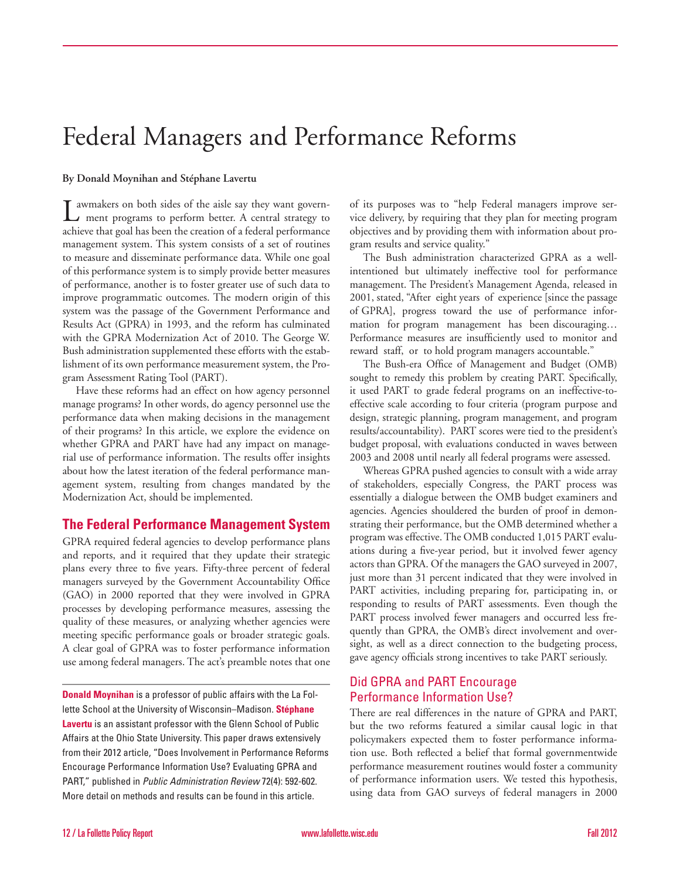# Federal Managers and Performance Reforms

#### **By Donald Moynihan and Stéphane Lavertu**

Lawmakers on both sides of the aisle say they want govern-ment programs to perform better. A central strategy to achieve that goal has been the creation of a federal performance management system. This system consists of a set of routines to measure and disseminate performance data. While one goal of this performance system is to simply provide better measures of performance, another is to foster greater use of such data to improve programmatic outcomes. The modern origin of this system was the passage of the Government Performance and Results Act (GPRA) in 1993, and the reform has culminated with the GPRA Modernization Act of 2010. The George W. Bush administration supplemented these efforts with the establishment of its own performance measurement system, the Program Assessment Rating Tool (PART).

Have these reforms had an effect on how agency personnel manage programs? In other words, do agency personnel use the performance data when making decisions in the management of their programs? In this article, we explore the evidence on whether GPRA and PART have had any impact on managerial use of performance information. The results offer insights about how the latest iteration of the federal performance management system, resulting from changes mandated by the Modernization Act, should be implemented.

# **The Federal Performance Management System**

GPRA required federal agencies to develop performance plans and reports, and it required that they update their strategic plans every three to five years. Fifty-three percent of federal managers surveyed by the Government Accountability Office (GAO) in 2000 reported that they were involved in GPRA processes by developing performance measures, assessing the quality of these measures, or analyzing whether agencies were meeting specific performance goals or broader strategic goals. A clear goal of GPRA was to foster performance information use among federal managers. The act's preamble notes that one

**Donald Moynihan** is a professor of public affairs with the La Follette School at the University of Wisconsin–Madison. **Stéphane Lavertu** is an assistant professor with the Glenn School of Public Affairs at the Ohio State University. This paper draws extensively from their 2012 article, "Does Involvement in Performance Reforms Encourage Performance Information Use? Evaluating GPRA and PART," published in *Public Administration Review* 72(4): 592-602. More detail on methods and results can be found in this article.

of its purposes was to "help Federal managers improve service delivery, by requiring that they plan for meeting program objectives and by providing them with information about program results and service quality."

The Bush administration characterized GPRA as a wellintentioned but ultimately ineffective tool for performance management. The President's Management Agenda, released in 2001, stated, "After eight years of experience [since the passage of GPRA], progress toward the use of performance information for program management has been discouraging… Performance measures are insufficiently used to monitor and reward staff, or to hold program managers accountable."

The Bush-era Office of Management and Budget (OMB) sought to remedy this problem by creating PART. Specifically, it used PART to grade federal programs on an ineffective-toeffective scale according to four criteria (program purpose and design, strategic planning, program management, and program results/accountability). PART scores were tied to the president's budget proposal, with evaluations conducted in waves between 2003 and 2008 until nearly all federal programs were assessed.

Whereas GPRA pushed agencies to consult with a wide array of stakeholders, especially Congress, the PART process was essentially a dialogue between the OMB budget examiners and agencies. Agencies shouldered the burden of proof in demonstrating their performance, but the OMB determined whether a program was effective. The OMB conducted 1,015 PART evaluations during a five-year period, but it involved fewer agency actors than GPRA. Of the managers the GAO surveyed in 2007, just more than 31 percent indicated that they were involved in PART activities, including preparing for, participating in, or responding to results of PART assessments. Even though the PART process involved fewer managers and occurred less frequently than GPRA, the OMB's direct involvement and oversight, as well as a direct connection to the budgeting process, gave agency officials strong incentives to take PART seriously.

# Did GPRA and PART Encourage Performance Information Use?

There are real differences in the nature of GPRA and PART, but the two reforms featured a similar causal logic in that policymakers expected them to foster performance information use. Both reflected a belief that formal governmentwide performance measurement routines would foster a community of performance information users. We tested this hypothesis, using data from GAO surveys of federal managers in 2000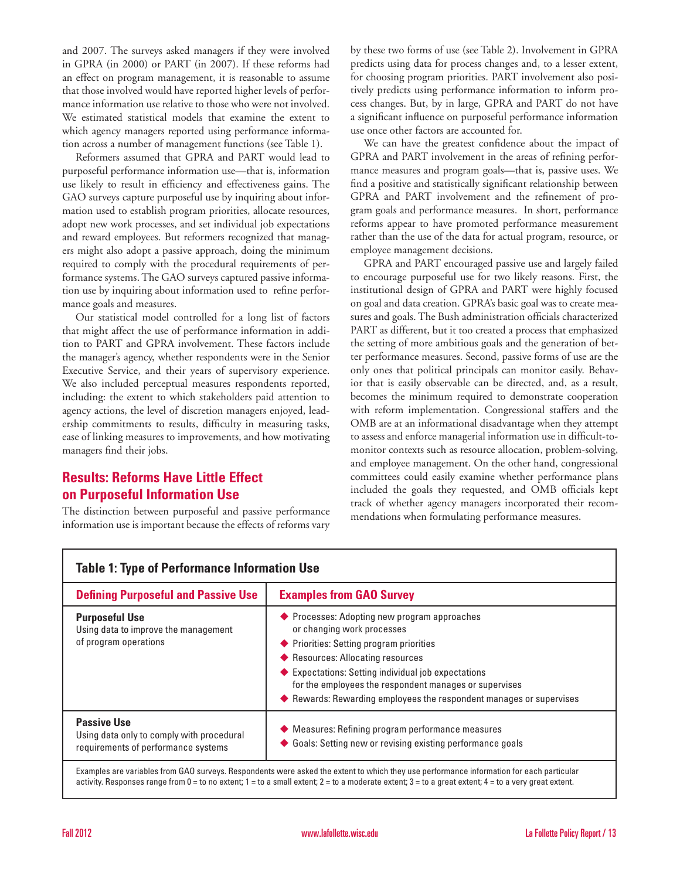and 2007. The surveys asked managers if they were involved in GPRA (in 2000) or PART (in 2007). If these reforms had an effect on program management, it is reasonable to assume that those involved would have reported higher levels of performance information use relative to those who were not involved. We estimated statistical models that examine the extent to which agency managers reported using performance information across a number of management functions (see Table 1).

Reformers assumed that GPRA and PART would lead to purposeful performance information use—that is, information use likely to result in efficiency and effectiveness gains. The GAO surveys capture purposeful use by inquiring about information used to establish program priorities, allocate resources, adopt new work processes, and set individual job expectations and reward employees. But reformers recognized that managers might also adopt a passive approach, doing the minimum required to comply with the procedural requirements of performance systems. The GAO surveys captured passive information use by inquiring about information used to refine performance goals and measures.

Our statistical model controlled for a long list of factors that might affect the use of performance information in addition to PART and GPRA involvement. These factors include the manager's agency, whether respondents were in the Senior Executive Service, and their years of supervisory experience. We also included perceptual measures respondents reported, including: the extent to which stakeholders paid attention to agency actions, the level of discretion managers enjoyed, leadership commitments to results, difficulty in measuring tasks, ease of linking measures to improvements, and how motivating managers find their jobs.

# **Results: Reforms Have Little Effect on Purposeful Information Use**

The distinction between purposeful and passive performance information use is important because the effects of reforms vary by these two forms of use (see Table 2). Involvement in GPRA predicts using data for process changes and, to a lesser extent, for choosing program priorities. PART involvement also positively predicts using performance information to inform process changes. But, by in large, GPRA and PART do not have a significant influence on purposeful performance information use once other factors are accounted for.

We can have the greatest confidence about the impact of GPRA and PART involvement in the areas of refining performance measures and program goals—that is, passive uses. We find a positive and statistically significant relationship between GPRA and PART involvement and the refinement of program goals and performance measures. In short, performance reforms appear to have promoted performance measurement rather than the use of the data for actual program, resource, or employee management decisions.

GPRA and PART encouraged passive use and largely failed to encourage purposeful use for two likely reasons. First, the institutional design of GPRA and PART were highly focused on goal and data creation. GPRA's basic goal was to create measures and goals. The Bush administration officials characterized PART as different, but it too created a process that emphasized the setting of more ambitious goals and the generation of better performance measures. Second, passive forms of use are the only ones that political principals can monitor easily. Behavior that is easily observable can be directed, and, as a result, becomes the minimum required to demonstrate cooperation with reform implementation. Congressional staffers and the OMB are at an informational disadvantage when they attempt to assess and enforce managerial information use in difficult-tomonitor contexts such as resource allocation, problem-solving, and employee management. On the other hand, congressional committees could easily examine whether performance plans included the goals they requested, and OMB officials kept track of whether agency managers incorporated their recommendations when formulating performance measures.

| <b>Defining Purposeful and Passive Use</b>                                                             | <b>Examples from GAO Survey</b>                                                                                                                                                                                                                                                                                                                   |
|--------------------------------------------------------------------------------------------------------|---------------------------------------------------------------------------------------------------------------------------------------------------------------------------------------------------------------------------------------------------------------------------------------------------------------------------------------------------|
| <b>Purposeful Use</b><br>Using data to improve the management<br>of program operations                 | ◆ Processes: Adopting new program approaches<br>or changing work processes<br>◆ Priorities: Setting program priorities<br>◆ Resources: Allocating resources<br>Expectations: Setting individual job expectations<br>for the employees the respondent manages or supervises<br>◆ Rewards: Rewarding employees the respondent manages or supervises |
| <b>Passive Use</b><br>Using data only to comply with procedural<br>requirements of performance systems | ◆ Measures: Refining program performance measures<br>◆ Goals: Setting new or revising existing performance goals                                                                                                                                                                                                                                  |
|                                                                                                        | Examples are variables from GAO surveys. Respondents were asked the extent to which they use performance information for each particular                                                                                                                                                                                                          |

## **Table 1: Type of Performance Information Use**

activity. Responses range from 0 = to no extent; 1 = to a small extent; 2 = to a moderate extent; 3 = to a great extent; 4 = to a very great extent.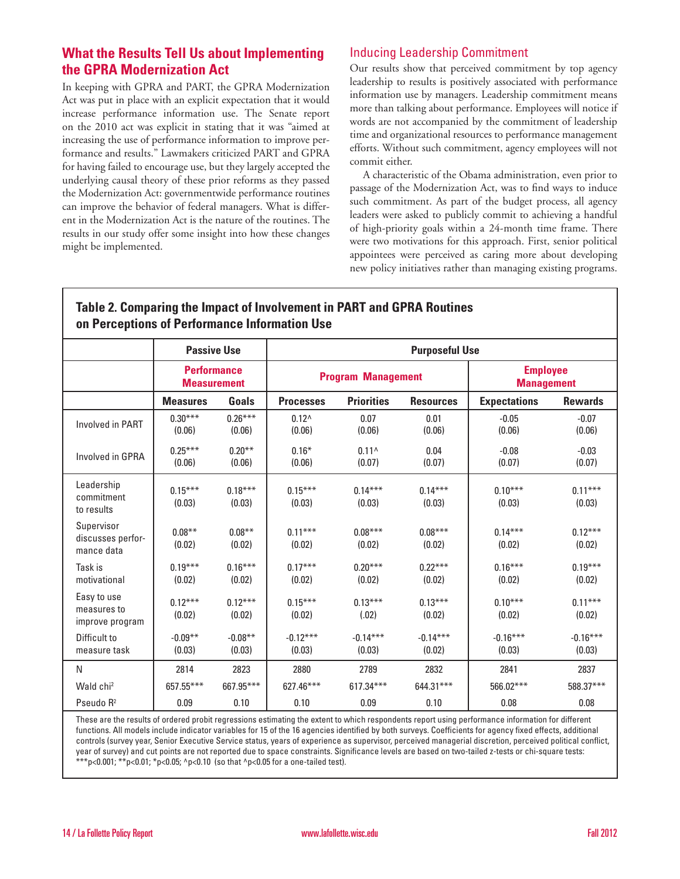# **What the Results Tell Us about Implementing the GPRA Modernization Act**

In keeping with GPRA and PART, the GPRA Modernization Act was put in place with an explicit expectation that it would increase performance information use. The Senate report on the 2010 act was explicit in stating that it was "aimed at increasing the use of performance information to improve performance and results." Lawmakers criticized PART and GPRA for having failed to encourage use, but they largely accepted the underlying causal theory of these prior reforms as they passed the Modernization Act: governmentwide performance routines can improve the behavior of federal managers. What is different in the Modernization Act is the nature of the routines. The results in our study offer some insight into how these changes might be implemented.

# Inducing Leadership Commitment

Our results show that perceived commitment by top agency leadership to results is positively associated with performance information use by managers. Leadership commitment means more than talking about performance. Employees will notice if words are not accompanied by the commitment of leadership time and organizational resources to performance management efforts. Without such commitment, agency employees will not commit either.

A characteristic of the Obama administration, even prior to passage of the Modernization Act, was to find ways to induce such commitment. As part of the budget process, all agency leaders were asked to publicly commit to achieving a handful of high-priority goals within a 24-month time frame. There were two motivations for this approach. First, senior political appointees were perceived as caring more about developing new policy initiatives rather than managing existing programs.

# **Table 2. Comparing the Impact of Involvement in PART and GPRA Routines on Perceptions of Performance Information Use**

|                                               | <b>Passive Use</b>                       |                     | <b>Purposeful Use</b>     |                      |                      |                                      |                      |
|-----------------------------------------------|------------------------------------------|---------------------|---------------------------|----------------------|----------------------|--------------------------------------|----------------------|
|                                               | <b>Performance</b><br><b>Measurement</b> |                     | <b>Program Management</b> |                      |                      | <b>Employee</b><br><b>Management</b> |                      |
|                                               | <b>Measures</b>                          | Goals               | <b>Processes</b>          | <b>Priorities</b>    | <b>Resources</b>     | <b>Expectations</b>                  | <b>Rewards</b>       |
| <b>Involved in PART</b>                       | $0.30***$<br>(0.06)                      | $0.26***$<br>(0.06) | $0.12^{\wedge}$<br>(0.06) | 0.07<br>(0.06)       | 0.01<br>(0.06)       | $-0.05$<br>(0.06)                    | $-0.07$<br>(0.06)    |
| Involved in GPRA                              | $0.25***$<br>(0.06)                      | $0.20**$<br>(0.06)  | $0.16*$<br>(0.06)         | $0.11^$<br>(0.07)    | 0.04<br>(0.07)       | $-0.08$<br>(0.07)                    | $-0.03$<br>(0.07)    |
| Leadership<br>commitment<br>to results        | $0.15***$<br>(0.03)                      | $0.18***$<br>(0.03) | $0.15***$<br>(0.03)       | $0.14***$<br>(0.03)  | $0.14***$<br>(0.03)  | $0.10***$<br>(0.03)                  | $0.11***$<br>(0.03)  |
| Supervisor<br>discusses perfor-<br>mance data | $0.08***$<br>(0.02)                      | $0.08***$<br>(0.02) | $0.11***$<br>(0.02)       | $0.08***$<br>(0.02)  | $0.08***$<br>(0.02)  | $0.14***$<br>(0.02)                  | $0.12***$<br>(0.02)  |
| Task is<br>motivational                       | $0.19***$<br>(0.02)                      | $0.16***$<br>(0.02) | $0.17***$<br>(0.02)       | $0.20***$<br>(0.02)  | $0.22***$<br>(0.02)  | $0.16***$<br>(0.02)                  | $0.19***$<br>(0.02)  |
| Easy to use<br>measures to<br>improve program | $0.12***$<br>(0.02)                      | $0.12***$<br>(0.02) | $0.15***$<br>(0.02)       | $0.13***$<br>(.02)   | $0.13***$<br>(0.02)  | $0.10***$<br>(0.02)                  | $0.11***$<br>(0.02)  |
| Difficult to<br>measure task                  | $-0.09**$<br>(0.03)                      | $-0.08**$<br>(0.03) | $-0.12***$<br>(0.03)      | $-0.14***$<br>(0.03) | $-0.14***$<br>(0.02) | $-0.16***$<br>(0.03)                 | $-0.16***$<br>(0.03) |
| N                                             | 2814                                     | 2823                | 2880                      | 2789                 | 2832                 | 2841                                 | 2837                 |
| Wald chi <sup>2</sup>                         | 657.55***                                | 667.95***           | 627.46***                 | $617.34***$          | 644.31***            | 566.02***                            | 588.37***            |
| Pseudo R <sup>2</sup>                         | 0.09                                     | 0.10                | 0.10                      | 0.09                 | 0.10                 | 0.08                                 | 0.08                 |

These are the results of ordered probit regressions estimating the extent to which respondents report using performance information for different functions. All models include indicator variables for 15 of the 16 agencies identified by both surveys. Coefficients for agency fixed effects, additional controls (survey year, Senior Executive Service status, years of experience as supervisor, perceived managerial discretion, perceived political conflict, year of survey) and cut points are not reported due to space constraints. Significance levels are based on two-tailed z-tests or chi-square tests: \*\*\*p<0.001; \*\*p<0.01; \*p<0.05; ^p<0.10 (so that ^p<0.05 for a one-tailed test).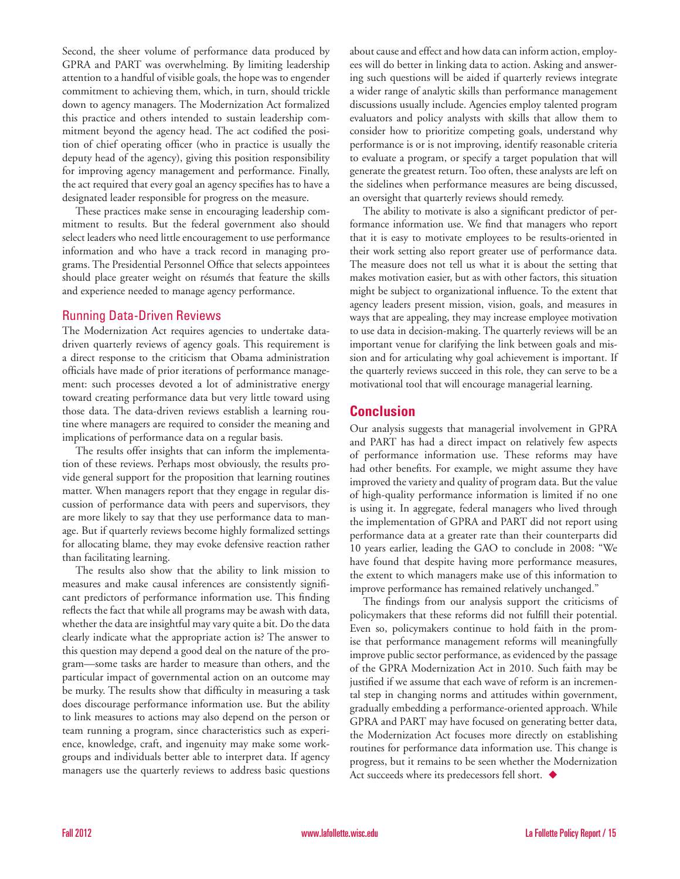Second, the sheer volume of performance data produced by GPRA and PART was overwhelming. By limiting leadership attention to a handful of visible goals, the hope was to engender commitment to achieving them, which, in turn, should trickle down to agency managers. The Modernization Act formalized this practice and others intended to sustain leadership commitment beyond the agency head. The act codified the position of chief operating officer (who in practice is usually the deputy head of the agency), giving this position responsibility for improving agency management and performance. Finally, the act required that every goal an agency specifies has to have a designated leader responsible for progress on the measure.

These practices make sense in encouraging leadership commitment to results. But the federal government also should select leaders who need little encouragement to use performance information and who have a track record in managing programs. The Presidential Personnel Office that selects appointees should place greater weight on résumés that feature the skills and experience needed to manage agency performance.

#### Running Data-Driven Reviews

The Modernization Act requires agencies to undertake datadriven quarterly reviews of agency goals. This requirement is a direct response to the criticism that Obama administration officials have made of prior iterations of performance management: such processes devoted a lot of administrative energy toward creating performance data but very little toward using those data. The data-driven reviews establish a learning routine where managers are required to consider the meaning and implications of performance data on a regular basis.

The results offer insights that can inform the implementation of these reviews. Perhaps most obviously, the results provide general support for the proposition that learning routines matter. When managers report that they engage in regular discussion of performance data with peers and supervisors, they are more likely to say that they use performance data to manage. But if quarterly reviews become highly formalized settings for allocating blame, they may evoke defensive reaction rather than facilitating learning.

The results also show that the ability to link mission to measures and make causal inferences are consistently significant predictors of performance information use. This finding reflects the fact that while all programs may be awash with data, whether the data are insightful may vary quite a bit. Do the data clearly indicate what the appropriate action is? The answer to this question may depend a good deal on the nature of the program—some tasks are harder to measure than others, and the particular impact of governmental action on an outcome may be murky. The results show that difficulty in measuring a task does discourage performance information use. But the ability to link measures to actions may also depend on the person or team running a program, since characteristics such as experience, knowledge, craft, and ingenuity may make some workgroups and individuals better able to interpret data. If agency managers use the quarterly reviews to address basic questions about cause and effect and how data can inform action, employees will do better in linking data to action. Asking and answering such questions will be aided if quarterly reviews integrate a wider range of analytic skills than performance management discussions usually include. Agencies employ talented program evaluators and policy analysts with skills that allow them to consider how to prioritize competing goals, understand why performance is or is not improving, identify reasonable criteria to evaluate a program, or specify a target population that will generate the greatest return. Too often, these analysts are left on the sidelines when performance measures are being discussed, an oversight that quarterly reviews should remedy.

The ability to motivate is also a significant predictor of performance information use. We find that managers who report that it is easy to motivate employees to be results-oriented in their work setting also report greater use of performance data. The measure does not tell us what it is about the setting that makes motivation easier, but as with other factors, this situation might be subject to organizational influence. To the extent that agency leaders present mission, vision, goals, and measures in ways that are appealing, they may increase employee motivation to use data in decision-making. The quarterly reviews will be an important venue for clarifying the link between goals and mission and for articulating why goal achievement is important. If the quarterly reviews succeed in this role, they can serve to be a motivational tool that will encourage managerial learning.

# **Conclusion**

Our analysis suggests that managerial involvement in GPRA and PART has had a direct impact on relatively few aspects of performance information use. These reforms may have had other benefits. For example, we might assume they have improved the variety and quality of program data. But the value of high-quality performance information is limited if no one is using it. In aggregate, federal managers who lived through the implementation of GPRA and PART did not report using performance data at a greater rate than their counterparts did 10 years earlier, leading the GAO to conclude in 2008: "We have found that despite having more performance measures, the extent to which managers make use of this information to improve performance has remained relatively unchanged."

The findings from our analysis support the criticisms of policymakers that these reforms did not fulfill their potential. Even so, policymakers continue to hold faith in the promise that performance management reforms will meaningfully improve public sector performance, as evidenced by the passage of the GPRA Modernization Act in 2010. Such faith may be justified if we assume that each wave of reform is an incremental step in changing norms and attitudes within government, gradually embedding a performance-oriented approach. While GPRA and PART may have focused on generating better data, the Modernization Act focuses more directly on establishing routines for performance data information use. This change is progress, but it remains to be seen whether the Modernization Act succeeds where its predecessors fell short.  $\blacklozenge$